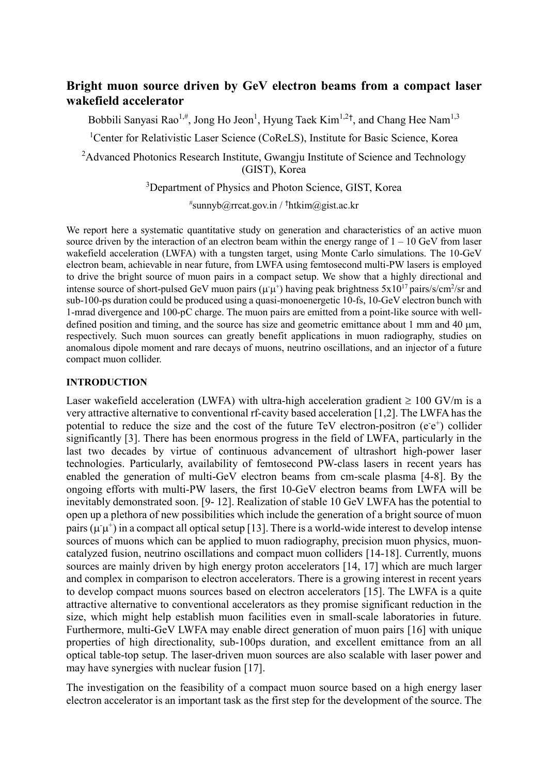# **Bright muon source driven by GeV electron beams from a compact laser wakefield accelerator**

Bobbili Sanyasi Rao<sup>1,#</sup>, Jong Ho Jeon<sup>1</sup>, Hyung Taek Kim<sup>1,2†</sup>, and Chang Hee Nam<sup>1,3</sup>

<sup>1</sup>Center for Relativistic Laser Science (CoReLS), Institute for Basic Science, Korea

<sup>2</sup>Advanced Photonics Research Institute, Gwangju Institute of Science and Technology (GIST), Korea

<sup>3</sup>Department of Physics and Photon Science, GIST, Korea

# sunnyb@rrcat.gov.in / †htkim@gist.ac.kr

We report here a systematic quantitative study on generation and characteristics of an active muon source driven by the interaction of an electron beam within the energy range of  $1 - 10$  GeV from laser wakefield acceleration (LWFA) with a tungsten target, using Monte Carlo simulations. The 10-GeV electron beam, achievable in near future, from LWFA using femtosecond multi-PW lasers is employed to drive the bright source of muon pairs in a compact setup. We show that a highly directional and intense source of short-pulsed GeV muon pairs ( $\mu^+$ ) having peak brightness 5x10<sup>17</sup> pairs/s/cm<sup>2</sup>/sr and sub-100-ps duration could be produced using a quasi-monoenergetic 10-fs, 10-GeV electron bunch with 1-mrad divergence and 100-pC charge. The muon pairs are emitted from a point-like source with welldefined position and timing, and the source has size and geometric emittance about 1 mm and 40  $\mu$ m, respectively. Such muon sources can greatly benefit applications in muon radiography, studies on anomalous dipole moment and rare decays of muons, neutrino oscillations, and an injector of a future compact muon collider.

### **INTRODUCTION**

Laser wakefield acceleration (LWFA) with ultra-high acceleration gradient  $\geq 100$  GV/m is a very attractive alternative to conventional rf-cavity based acceleration [1,2]. The LWFA has the potential to reduce the size and the cost of the future TeV electron-positron  $(e^-e^+)$  collider significantly [3]. There has been enormous progress in the field of LWFA, particularly in the last two decades by virtue of continuous advancement of ultrashort high-power laser technologies. Particularly, availability of femtosecond PW-class lasers in recent years has enabled the generation of multi-GeV electron beams from cm-scale plasma [4-8]. By the ongoing efforts with multi-PW lasers, the first 10-GeV electron beams from LWFA will be inevitably demonstrated soon. [9- 12]. Realization of stable 10 GeV LWFA has the potential to open up a plethora of new possibilities which include the generation of a bright source of muon pairs ( $\mu^+\mu^+$ ) in a compact all optical setup [13]. There is a world-wide interest to develop intense sources of muons which can be applied to muon radiography, precision muon physics, muoncatalyzed fusion, neutrino oscillations and compact muon colliders [14-18]. Currently, muons sources are mainly driven by high energy proton accelerators [14, 17] which are much larger and complex in comparison to electron accelerators. There is a growing interest in recent years to develop compact muons sources based on electron accelerators [15]. The LWFA is a quite attractive alternative to conventional accelerators as they promise significant reduction in the size, which might help establish muon facilities even in small-scale laboratories in future. Furthermore, multi-GeV LWFA may enable direct generation of muon pairs [16] with unique properties of high directionality, sub-100ps duration, and excellent emittance from an all optical table-top setup. The laser-driven muon sources are also scalable with laser power and may have synergies with nuclear fusion [17].

The investigation on the feasibility of a compact muon source based on a high energy laser electron accelerator is an important task as the first step for the development of the source. The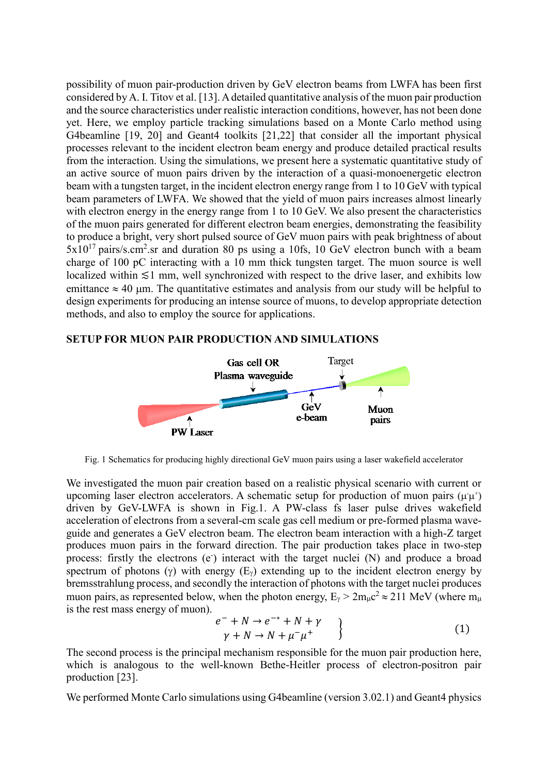possibility of muon pair-production driven by GeV electron beams from LWFA has been first considered by A. I. Titov et al. [13]. Adetailed quantitative analysis of the muon pair production and the source characteristics under realistic interaction conditions, however, has not been done yet. Here, we employ particle tracking simulations based on a Monte Carlo method using G4beamline [19, 20] and Geant4 toolkits [21,22] that consider all the important physical processes relevant to the incident electron beam energy and produce detailed practical results from the interaction. Using the simulations, we present here a systematic quantitative study of an active source of muon pairs driven by the interaction of a quasi-monoenergetic electron beam with a tungsten target, in the incident electron energy range from 1 to 10 GeV with typical beam parameters of LWFA. We showed that the yield of muon pairs increases almost linearly with electron energy in the energy range from 1 to 10 GeV. We also present the characteristics of the muon pairs generated for different electron beam energies, demonstrating the feasibility to produce a bright, very short pulsed source of GeV muon pairs with peak brightness of about  $5x10^{17}$  pairs/s.cm<sup>2</sup>.sr and duration 80 ps using a 10fs, 10 GeV electron bunch with a beam charge of 100 pC interacting with a 10 mm thick tungsten target. The muon source is well localized within ≲1 mm, well synchronized with respect to the drive laser, and exhibits low emittance  $\approx 40$  um. The quantitative estimates and analysis from our study will be helpful to design experiments for producing an intense source of muons, to develop appropriate detection methods, and also to employ the source for applications.

### **SETUP FOR MUON PAIR PRODUCTION AND SIMULATIONS**



Fig. 1 Schematics for producing highly directional GeV muon pairs using a laser wakefield accelerator

We investigated the muon pair creation based on a realistic physical scenario with current or upcoming laser electron accelerators. A schematic setup for production of muon pairs ( $\mu \mu^{+}$ ) driven by GeV-LWFA is shown in Fig.1. A PW-class fs laser pulse drives wakefield acceleration of electrons from a several-cm scale gas cell medium or pre-formed plasma waveguide and generates a GeV electron beam. The electron beam interaction with a high-Z target produces muon pairs in the forward direction. The pair production takes place in two-step process: firstly the electrons (e) interact with the target nuclei (N) and produce a broad spectrum of photons ( $\gamma$ ) with energy ( $E_{\gamma}$ ) extending up to the incident electron energy by bremsstrahlung process, and secondly the interaction of photons with the target nuclei produces muon pairs, as represented below, when the photon energy,  $E_{\gamma} > 2m_{\mu}c^2 \approx 211$  MeV (where  $m_{\mu}$ is the rest mass energy of muon).

$$
e^- + N \rightarrow e^{-*} + N + \gamma
$$
  
\n
$$
\gamma + N \rightarrow N + \mu^- \mu^+ \qquad \}
$$
 (1)

The second process is the principal mechanism responsible for the muon pair production here, which is analogous to the well-known Bethe-Heitler process of electron-positron pair production [23].

We performed Monte Carlo simulations using G4beamline (version 3.02.1) and Geant4 physics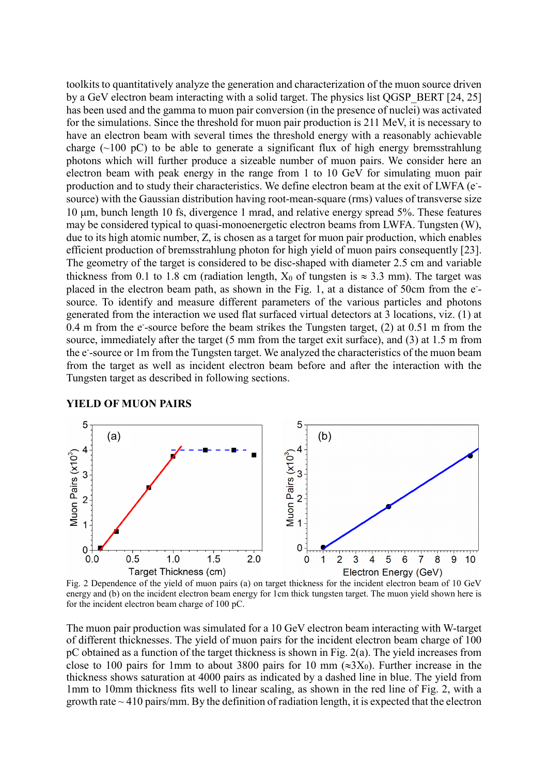toolkits to quantitatively analyze the generation and characterization of the muon source driven by a GeV electron beam interacting with a solid target. The physics list QGSP\_BERT [24, 25] has been used and the gamma to muon pair conversion (in the presence of nuclei) was activated for the simulations. Since the threshold for muon pair production is 211 MeV, it is necessary to have an electron beam with several times the threshold energy with a reasonably achievable charge ( $\sim$ 100 pC) to be able to generate a significant flux of high energy bremsstrahlung photons which will further produce a sizeable number of muon pairs. We consider here an electron beam with peak energy in the range from 1 to 10 GeV for simulating muon pair production and to study their characteristics. We define electron beam at the exit of LWFA (esource) with the Gaussian distribution having root-mean-square (rms) values of transverse size 10 m, bunch length 10 fs, divergence 1 mrad, and relative energy spread 5%. These features may be considered typical to quasi-monoenergetic electron beams from LWFA. Tungsten (W), due to its high atomic number, Z, is chosen as a target for muon pair production, which enables efficient production of bremsstrahlung photon for high yield of muon pairs consequently [23]. The geometry of the target is considered to be disc-shaped with diameter 2.5 cm and variable thickness from 0.1 to 1.8 cm (radiation length,  $X_0$  of tungsten is  $\approx 3.3$  mm). The target was placed in the electron beam path, as shown in the Fig. 1, at a distance of 50cm from the esource. To identify and measure different parameters of the various particles and photons generated from the interaction we used flat surfaced virtual detectors at 3 locations, viz. (1) at 0.4 m from the e-source before the beam strikes the Tungsten target, (2) at 0.51 m from the source, immediately after the target (5 mm from the target exit surface), and (3) at 1.5 m from the e - -source or 1m from the Tungsten target. We analyzed the characteristics of the muon beam from the target as well as incident electron beam before and after the interaction with the Tungsten target as described in following sections.



**YIELD OF MUON PAIRS**

Fig. 2 Dependence of the yield of muon pairs (a) on target thickness for the incident electron beam of 10 GeV energy and (b) on the incident electron beam energy for 1cm thick tungsten target. The muon yield shown here is for the incident electron beam charge of 100 pC.

The muon pair production was simulated for a 10 GeV electron beam interacting with W-target of different thicknesses. The yield of muon pairs for the incident electron beam charge of 100 pC obtained as a function of the target thickness is shown in Fig. 2(a). The yield increases from close to 100 pairs for 1mm to about 3800 pairs for 10 mm ( $\approx 3X_0$ ). Further increase in the thickness shows saturation at 4000 pairs as indicated by a dashed line in blue. The yield from 1mm to 10mm thickness fits well to linear scaling, as shown in the red line of Fig. 2, with a growth rate  $\sim$  410 pairs/mm. By the definition of radiation length, it is expected that the electron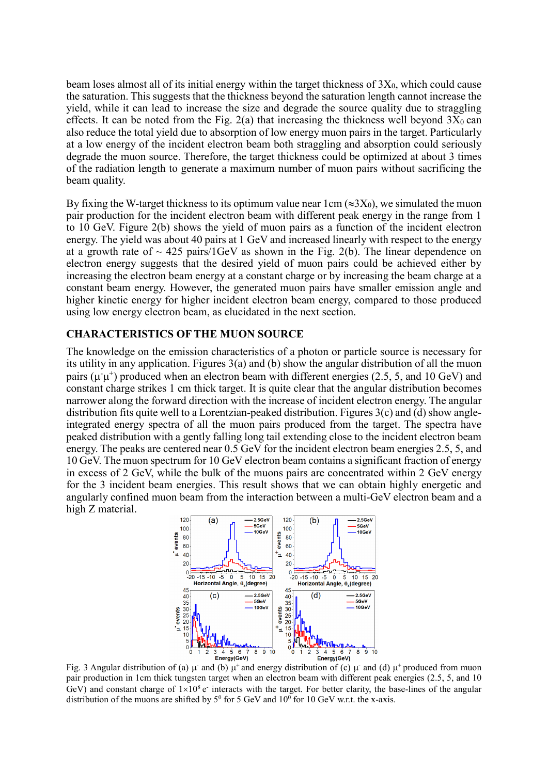beam loses almost all of its initial energy within the target thickness of  $3X_0$ , which could cause the saturation. This suggests that the thickness beyond the saturation length cannot increase the yield, while it can lead to increase the size and degrade the source quality due to straggling effects. It can be noted from the Fig.  $2(a)$  that increasing the thickness well beyond  $3X_0$  can also reduce the total yield due to absorption of low energy muon pairs in the target. Particularly at a low energy of the incident electron beam both straggling and absorption could seriously degrade the muon source. Therefore, the target thickness could be optimized at about 3 times of the radiation length to generate a maximum number of muon pairs without sacrificing the beam quality.

By fixing the W-target thickness to its optimum value near 1cm ( $\approx 3X_0$ ), we simulated the muon pair production for the incident electron beam with different peak energy in the range from 1 to 10 GeV. Figure 2(b) shows the yield of muon pairs as a function of the incident electron energy. The yield was about 40 pairs at 1 GeV and increased linearly with respect to the energy at a growth rate of  $\sim$  425 pairs/1GeV as shown in the Fig. 2(b). The linear dependence on electron energy suggests that the desired yield of muon pairs could be achieved either by increasing the electron beam energy at a constant charge or by increasing the beam charge at a constant beam energy. However, the generated muon pairs have smaller emission angle and higher kinetic energy for higher incident electron beam energy, compared to those produced using low energy electron beam, as elucidated in the next section.

### **CHARACTERISTICS OF THE MUON SOURCE**

The knowledge on the emission characteristics of a photon or particle source is necessary for its utility in any application. Figures 3(a) and (b) show the angular distribution of all the muon pairs ( $\mu \mu^{+}$ ) produced when an electron beam with different energies (2.5, 5, and 10 GeV) and constant charge strikes 1 cm thick target. It is quite clear that the angular distribution becomes narrower along the forward direction with the increase of incident electron energy. The angular distribution fits quite well to a Lorentzian-peaked distribution. Figures 3(c) and (d) show angleintegrated energy spectra of all the muon pairs produced from the target. The spectra have peaked distribution with a gently falling long tail extending close to the incident electron beam energy. The peaks are centered near  $0.5$  GeV for the incident electron beam energies 2.5, 5, and 10 GeV. The muon spectrum for 10 GeV electron beam contains a significant fraction of energy in excess of 2 GeV, while the bulk of the muons pairs are concentrated within 2 GeV energy for the 3 incident beam energies. This result shows that we can obtain highly energetic and angularly confined muon beam from the interaction between a multi-GeV electron beam and a high Z material.



Fig. 3 Angular distribution of (a)  $\mu$  and (b)  $\mu$ <sup>+</sup> and energy distribution of (c)  $\mu$  and (d)  $\mu$ <sup>+</sup> produced from muon pair production in 1cm thick tungsten target when an electron beam with different peak energies (2.5, 5, and 10 GeV) and constant charge of  $1\times10^8$  e interacts with the target. For better clarity, the base-lines of the angular distribution of the muons are shifted by  $5^0$  for 5 GeV and  $10^0$  for 10 GeV w.r.t. the x-axis.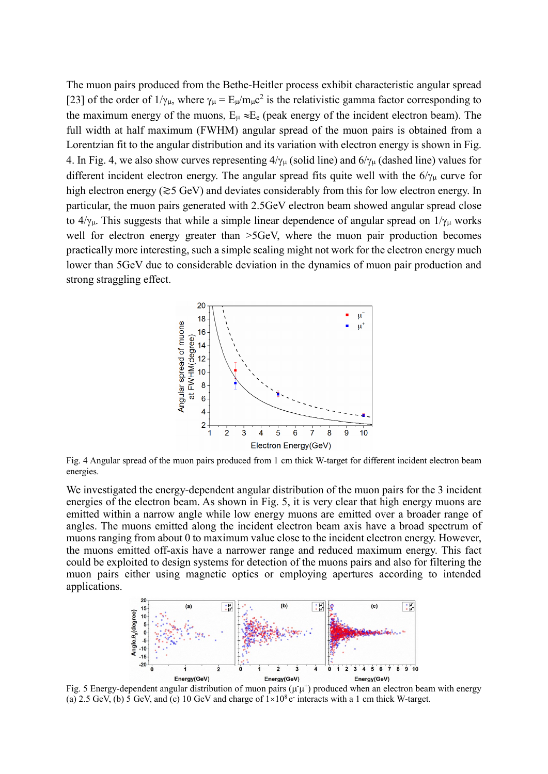The muon pairs produced from the Bethe-Heitler process exhibit characteristic angular spread [23] of the order of  $1/\gamma_{\mu}$ , where  $\gamma_{\mu} = E_{\mu}/m_{\mu}c^2$  is the relativistic gamma factor corresponding to the maximum energy of the muons,  $E_{\mu} \approx E_e$  (peak energy of the incident electron beam). The full width at half maximum (FWHM) angular spread of the muon pairs is obtained from a Lorentzian fit to the angular distribution and its variation with electron energy is shown in Fig. 4. In Fig. 4, we also show curves representing  $4/\gamma_{\mu}$  (solid line) and  $6/\gamma_{\mu}$  (dashed line) values for different incident electron energy. The angular spread fits quite well with the  $6/\gamma_{\mu}$  curve for high electron energy (≳5 GeV) and deviates considerably from this for low electron energy. In particular, the muon pairs generated with 2.5GeV electron beam showed angular spread close to  $4/\gamma_{\mu}$ . This suggests that while a simple linear dependence of angular spread on  $1/\gamma_{\mu}$  works well for electron energy greater than  $>5 GeV$ , where the muon pair production becomes practically more interesting, such a simple scaling might not work for the electron energy much lower than 5GeV due to considerable deviation in the dynamics of muon pair production and strong straggling effect.



Fig. 4 Angular spread of the muon pairs produced from 1 cm thick W-target for different incident electron beam energies.

We investigated the energy-dependent angular distribution of the muon pairs for the 3 incident energies of the electron beam. As shown in Fig. 5, it is very clear that high energy muons are emitted within a narrow angle while low energy muons are emitted over a broader range of angles. The muons emitted along the incident electron beam axis have a broad spectrum of muons ranging from about 0 to maximum value close to the incident electron energy. However, the muons emitted off-axis have a narrower range and reduced maximum energy. This fact could be exploited to design systems for detection of the muons pairs and also for filtering the muon pairs either using magnetic optics or employing apertures according to intended applications.



Fig. 5 Energy-dependent angular distribution of muon pairs ( $\mu\mu$ <sup>+</sup>) produced when an electron beam with energy (a) 2.5 GeV, (b) 5 GeV, and (c) 10 GeV and charge of  $1 \times 10^8$  e interacts with a 1 cm thick W-target.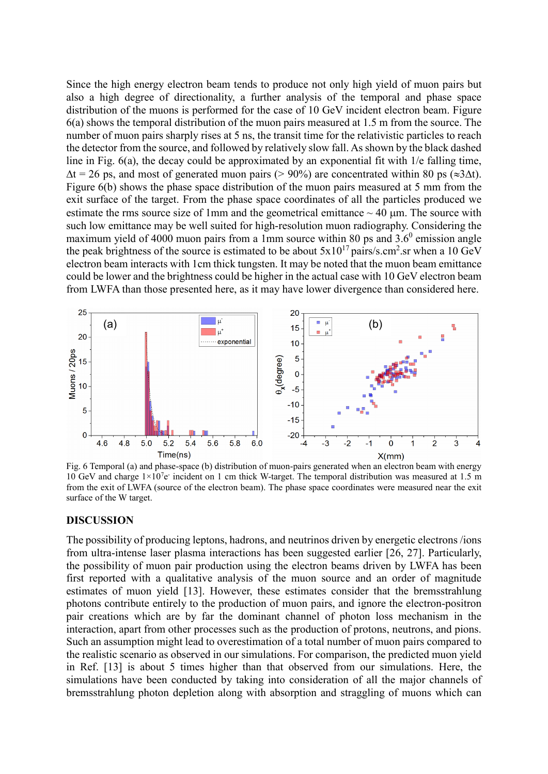Since the high energy electron beam tends to produce not only high yield of muon pairs but also a high degree of directionality, a further analysis of the temporal and phase space distribution of the muons is performed for the case of 10 GeV incident electron beam. Figure 6(a) shows the temporal distribution of the muon pairs measured at 1.5 m from the source. The number of muon pairs sharply rises at 5 ns, the transit time for the relativistic particles to reach the detector from the source, and followed by relatively slow fall. As shown by the black dashed line in Fig.  $6(a)$ , the decay could be approximated by an exponential fit with  $1/e$  falling time,  $\Delta t = 26$  ps, and most of generated muon pairs (> 90%) are concentrated within 80 ps ( $\approx 3\Delta t$ ). Figure 6(b) shows the phase space distribution of the muon pairs measured at 5 mm from the exit surface of the target. From the phase space coordinates of all the particles produced we estimate the rms source size of 1mm and the geometrical emittance  $\sim$  40  $\mu$ m. The source with such low emittance may be well suited for high-resolution muon radiography. Considering the maximum yield of 4000 muon pairs from a 1mm source within 80 ps and  $3.6^{\circ}$  emission angle the peak brightness of the source is estimated to be about  $5x10^{17}$  pairs/s.cm<sup>2</sup>.sr when a 10 GeV electron beam interacts with 1cm thick tungsten. It may be noted that the muon beam emittance could be lower and the brightness could be higher in the actual case with 10 GeV electron beam from LWFA than those presented here, as it may have lower divergence than considered here.



Fig. 6 Temporal (a) and phase-space (b) distribution of muon-pairs generated when an electron beam with energy 10 GeV and charge  $1\times10^{7}$ e incident on 1 cm thick W-target. The temporal distribution was measured at 1.5 m from the exit of LWFA (source of the electron beam). The phase space coordinates were measured near the exit surface of the W target.

#### **DISCUSSION**

The possibility of producing leptons, hadrons, and neutrinos driven by energetic electrons /ions from ultra-intense laser plasma interactions has been suggested earlier [26, 27]. Particularly, the possibility of muon pair production using the electron beams driven by LWFA has been first reported with a qualitative analysis of the muon source and an order of magnitude estimates of muon yield [13]. However, these estimates consider that the bremsstrahlung photons contribute entirely to the production of muon pairs, and ignore the electron-positron pair creations which are by far the dominant channel of photon loss mechanism in the interaction, apart from other processes such as the production of protons, neutrons, and pions. Such an assumption might lead to overestimation of a total number of muon pairs compared to the realistic scenario as observed in our simulations. For comparison, the predicted muon yield in Ref. [13] is about 5 times higher than that observed from our simulations. Here, the simulations have been conducted by taking into consideration of all the major channels of bremsstrahlung photon depletion along with absorption and straggling of muons which can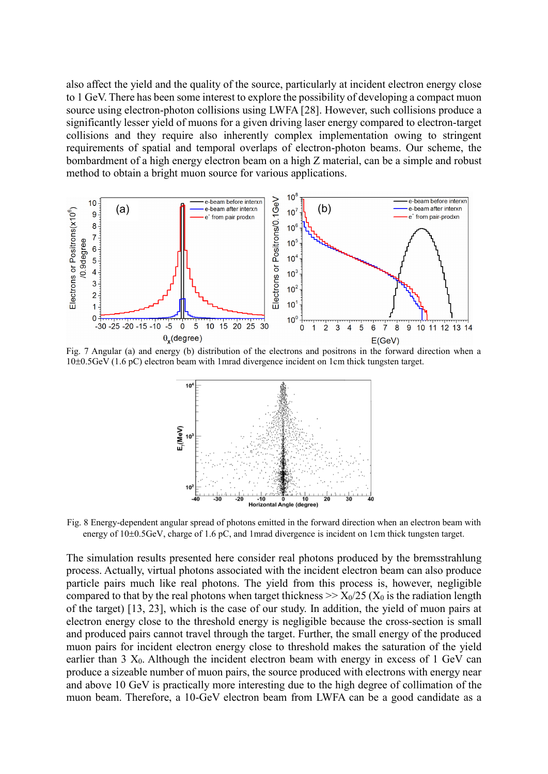also affect the yield and the quality of the source, particularly at incident electron energy close to 1 GeV. There has been some interest to explore the possibility of developing a compact muon source using electron-photon collisions using LWFA [28]. However, such collisions produce a significantly lesser yield of muons for a given driving laser energy compared to electron-target collisions and they require also inherently complex implementation owing to stringent requirements of spatial and temporal overlaps of electron-photon beams. Our scheme, the bombardment of a high energy electron beam on a high Z material, can be a simple and robust method to obtain a bright muon source for various applications.



Fig. 7 Angular (a) and energy (b) distribution of the electrons and positrons in the forward direction when a  $10\pm0.5$ GeV (1.6 pC) electron beam with 1mrad divergence incident on 1cm thick tungsten target.



Fig. 8 Energy-dependent angular spread of photons emitted in the forward direction when an electron beam with energy of  $10\pm0.5$  GeV, charge of 1.6 pC, and 1mrad divergence is incident on 1cm thick tungsten target.

The simulation results presented here consider real photons produced by the bremsstrahlung process. Actually, virtual photons associated with the incident electron beam can also produce particle pairs much like real photons. The yield from this process is, however, negligible compared to that by the real photons when target thickness  $\gg X_0/25$  ( $X_0$  is the radiation length of the target) [13, 23], which is the case of our study. In addition, the yield of muon pairs at electron energy close to the threshold energy is negligible because the cross-section is small and produced pairs cannot travel through the target. Further, the small energy of the produced muon pairs for incident electron energy close to threshold makes the saturation of the yield earlier than  $3 X_0$ . Although the incident electron beam with energy in excess of 1 GeV can produce a sizeable number of muon pairs, the source produced with electrons with energy near and above 10 GeV is practically more interesting due to the high degree of collimation of the muon beam. Therefore, a 10-GeV electron beam from LWFA can be a good candidate as a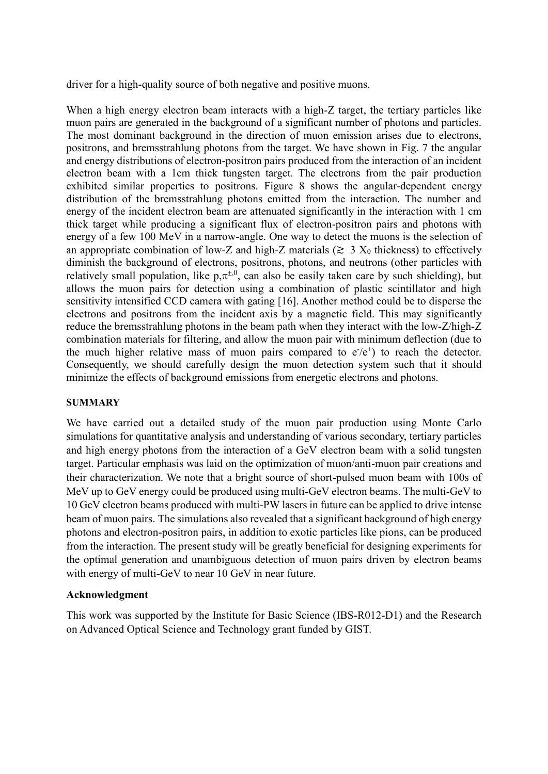driver for a high-quality source of both negative and positive muons.

When a high energy electron beam interacts with a high-Z target, the tertiary particles like muon pairs are generated in the background of a significant number of photons and particles. The most dominant background in the direction of muon emission arises due to electrons, positrons, and bremsstrahlung photons from the target. We have shown in Fig. 7 the angular and energy distributions of electron-positron pairs produced from the interaction of an incident electron beam with a 1cm thick tungsten target. The electrons from the pair production exhibited similar properties to positrons. Figure 8 shows the angular-dependent energy distribution of the bremsstrahlung photons emitted from the interaction. The number and energy of the incident electron beam are attenuated significantly in the interaction with 1 cm thick target while producing a significant flux of electron-positron pairs and photons with energy of a few 100 MeV in a narrow-angle. One way to detect the muons is the selection of an appropriate combination of low-Z and high-Z materials ( $\gtrsim 3$  X<sub>0</sub> thickness) to effectively diminish the background of electrons, positrons, photons, and neutrons (other particles with relatively small population, like  $p, \pi^{\pm,0}$ , can also be easily taken care by such shielding), but allows the muon pairs for detection using a combination of plastic scintillator and high sensitivity intensified CCD camera with gating [16]. Another method could be to disperse the electrons and positrons from the incident axis by a magnetic field. This may significantly reduce the bremsstrahlung photons in the beam path when they interact with the low-Z/high-Z combination materials for filtering, and allow the muon pair with minimum deflection (due to the much higher relative mass of muon pairs compared to  $e^-(e^+)$  to reach the detector. Consequently, we should carefully design the muon detection system such that it should minimize the effects of background emissions from energetic electrons and photons.

### **SUMMARY**

We have carried out a detailed study of the muon pair production using Monte Carlo simulations for quantitative analysis and understanding of various secondary, tertiary particles and high energy photons from the interaction of a GeV electron beam with a solid tungsten target. Particular emphasis was laid on the optimization of muon/anti-muon pair creations and their characterization. We note that a bright source of short-pulsed muon beam with 100s of MeV up to GeV energy could be produced using multi-GeV electron beams. The multi-GeV to 10 GeV electron beams produced with multi-PW lasers in future can be applied to drive intense beam of muon pairs. The simulations also revealed that a significant background of high energy photons and electron-positron pairs, in addition to exotic particles like pions, can be produced from the interaction. The present study will be greatly beneficial for designing experiments for the optimal generation and unambiguous detection of muon pairs driven by electron beams with energy of multi-GeV to near 10 GeV in near future.

## **Acknowledgment**

This work was supported by the Institute for Basic Science (IBS-R012-D1) and the Research on Advanced Optical Science and Technology grant funded by GIST.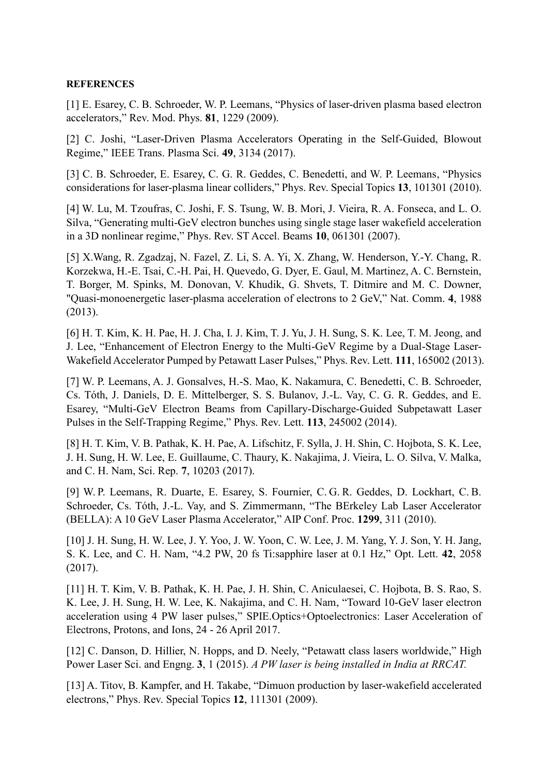### **REFERENCES**

[1] E. Esarey, C. B. Schroeder, W. P. Leemans, "Physics of laser-driven plasma based electron accelerators," Rev. Mod. Phys. **81**, 1229 (2009).

[2] C. Joshi, "Laser-Driven Plasma Accelerators Operating in the Self-Guided, Blowout Regime," IEEE Trans. Plasma Sci. **49**, 3134 (2017).

[3] C. B. Schroeder, E. Esarey, C. G. R. Geddes, C. Benedetti, and W. P. Leemans, "Physics considerations for laser-plasma linear colliders," Phys. Rev. Special Topics **13**, 101301 (2010).

[4] W. Lu, M. Tzoufras, C. Joshi, F. S. Tsung, W. B. Mori, J. Vieira, R. A. Fonseca, and L. O. Silva, "Generating multi-GeV electron bunches using single stage laser wakefield acceleration in a 3D nonlinear regime," Phys. Rev. ST Accel. Beams **10**, 061301 (2007).

[5] X.Wang, R. Zgadzaj, N. Fazel, Z. Li, S. A. Yi, X. Zhang, W. Henderson, Y.-Y. Chang, R. Korzekwa, H.-E. Tsai, C.-H. Pai, H. Quevedo, G. Dyer, E. Gaul, M. Martinez, A. C. Bernstein, T. Borger, M. Spinks, M. Donovan, V. Khudik, G. Shvets, T. Ditmire and M. C. Downer, "Quasi-monoenergetic laser-plasma acceleration of electrons to 2 GeV," Nat. Comm. **4**, 1988 (2013).

[6] H. T. Kim, K. H. Pae, H. J. Cha, I. J. Kim, T. J. Yu, J. H. Sung, S. K. Lee, T. M. Jeong, and J. Lee, "Enhancement of Electron Energy to the Multi-GeV Regime by a Dual-Stage Laser-Wakefield Accelerator Pumped by Petawatt Laser Pulses," Phys. Rev. Lett. **111**, 165002 (2013).

[7] W. P. Leemans, A. J. Gonsalves, H.-S. Mao, K. Nakamura, C. Benedetti, C. B. Schroeder, Cs. Tóth, J. Daniels, D. E. Mittelberger, S. S. Bulanov, J.-L. Vay, C. G. R. Geddes, and E. Esarey, "Multi-GeV Electron Beams from Capillary-Discharge-Guided Subpetawatt Laser Pulses in the Self-Trapping Regime," Phys. Rev. Lett. **113**, 245002 (2014).

[8] H. T. Kim, V. B. Pathak, K. H. Pae, A. Lifschitz, F. Sylla, J. H. Shin, C. Hojbota, S. K. Lee, J. H. Sung, H. W. Lee, E. Guillaume, C. Thaury, K. Nakajima, J. Vieira, L. O. Silva, V. Malka, and C. H. Nam, Sci. Rep. **7**, 10203 (2017).

[9] W. P. Leemans, R. Duarte, E. Esarey, S. Fournier, C. G. R. Geddes, D. Lockhart, C. B. Schroeder, Cs. Tóth, J.-L. Vay, and S. Zimmermann, "The BErkeley Lab Laser Accelerator (BELLA): A 10 GeV Laser Plasma Accelerator," AIP Conf. Proc. **1299**, 311 (2010).

[10] J. H. Sung, H. W. Lee, J. Y. Yoo, J. W. Yoon, C. W. Lee, J. M. Yang, Y. J. Son, Y. H. Jang, S. K. Lee, and C. H. Nam, "4.2 PW, 20 fs Ti:sapphire laser at 0.1 Hz," Opt. Lett. **42**, 2058 (2017).

[11] H. T. Kim, V. B. Pathak, K. H. Pae, J. H. Shin, C. Aniculaesei, C. Hojbota, B. S. Rao, S. K. Lee, J. H. Sung, H. W. Lee, K. Nakajima, and C. H. Nam, "Toward 10-GeV laser electron acceleration using 4 PW laser pulses," SPIE.Optics+Optoelectronics: Laser Acceleration of Electrons, Protons, and Ions, 24 - 26 April 2017.

[12] C. Danson, D. Hillier, N. Hopps, and D. Neely, "Petawatt class lasers worldwide," High Power Laser Sci. and Engng. **3**, 1 (2015). *A PW laser is being installed in India at RRCAT.*

[13] A. Titov, B. Kampfer, and H. Takabe, "Dimuon production by laser-wakefield accelerated electrons," Phys. Rev. Special Topics **12**, 111301 (2009).